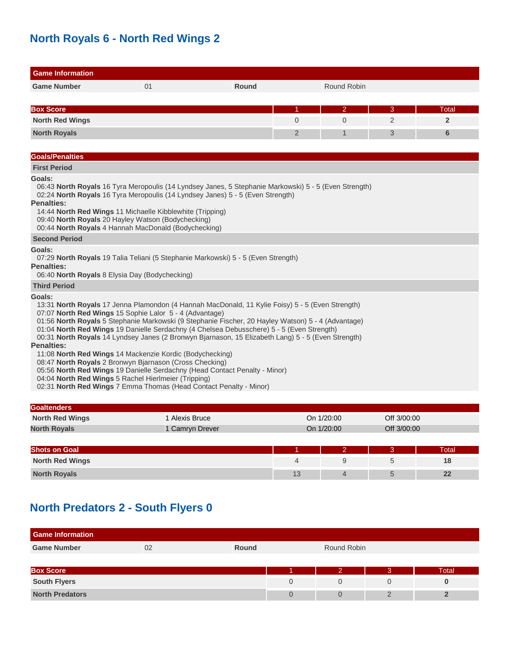## **North Royals 6 - North Red Wings 2**

| <b>Game Information</b>                                                                                                                                                                                                                                                                                                                                                                                                                                                        |                 |              |                |                |             |                 |
|--------------------------------------------------------------------------------------------------------------------------------------------------------------------------------------------------------------------------------------------------------------------------------------------------------------------------------------------------------------------------------------------------------------------------------------------------------------------------------|-----------------|--------------|----------------|----------------|-------------|-----------------|
| <b>Game Number</b>                                                                                                                                                                                                                                                                                                                                                                                                                                                             | 01              | <b>Round</b> |                | Round Robin    |             |                 |
|                                                                                                                                                                                                                                                                                                                                                                                                                                                                                |                 |              |                |                |             |                 |
| <b>Box Score</b>                                                                                                                                                                                                                                                                                                                                                                                                                                                               |                 |              | 1              | $\overline{2}$ | 3           | Total           |
| <b>North Red Wings</b>                                                                                                                                                                                                                                                                                                                                                                                                                                                         |                 |              | $\Omega$       | $\Omega$       | 2           | $\overline{2}$  |
| <b>North Royals</b>                                                                                                                                                                                                                                                                                                                                                                                                                                                            |                 |              | $\overline{2}$ | $\mathbf{1}$   | 3           | $6\phantom{1}6$ |
|                                                                                                                                                                                                                                                                                                                                                                                                                                                                                |                 |              |                |                |             |                 |
| <b>Goals/Penalties</b>                                                                                                                                                                                                                                                                                                                                                                                                                                                         |                 |              |                |                |             |                 |
| <b>First Period</b>                                                                                                                                                                                                                                                                                                                                                                                                                                                            |                 |              |                |                |             |                 |
| Goals:<br>06:43 North Royals 16 Tyra Meropoulis (14 Lyndsey Janes, 5 Stephanie Markowski) 5 - 5 (Even Strength)<br>02:24 North Royals 16 Tyra Meropoulis (14 Lyndsey Janes) 5 - 5 (Even Strength)<br><b>Penalties:</b><br>14:44 North Red Wings 11 Michaelle Kibblewhite (Tripping)<br>09:40 North Royals 20 Hayley Watson (Bodychecking)<br>00:44 North Royals 4 Hannah MacDonald (Bodychecking)                                                                              |                 |              |                |                |             |                 |
| <b>Second Period</b>                                                                                                                                                                                                                                                                                                                                                                                                                                                           |                 |              |                |                |             |                 |
| Goals:<br>07:29 North Royals 19 Talia Teliani (5 Stephanie Markowski) 5 - 5 (Even Strength)<br><b>Penalties:</b><br>06:40 North Royals 8 Elysia Day (Bodychecking)                                                                                                                                                                                                                                                                                                             |                 |              |                |                |             |                 |
| <b>Third Period</b>                                                                                                                                                                                                                                                                                                                                                                                                                                                            |                 |              |                |                |             |                 |
| Goals:<br>13:31 North Royals 17 Jenna Plamondon (4 Hannah MacDonald, 11 Kylie Foisy) 5 - 5 (Even Strength)<br>07:07 North Red Wings 15 Sophie Lalor 5 - 4 (Advantage)<br>01:56 North Royals 5 Stephanie Markowski (9 Stephanie Fischer, 20 Hayley Watson) 5 - 4 (Advantage)<br>01:04 North Red Wings 19 Danielle Serdachny (4 Chelsea Debusschere) 5 - 5 (Even Strength)<br>00:31 North Royals 14 Lyndsey Janes (2 Bronwyn Bjarnason, 15 Elizabeth Lang) 5 - 5 (Even Strength) |                 |              |                |                |             |                 |
| <b>Penalties:</b><br>11:08 North Red Wings 14 Mackenzie Kordic (Bodychecking)<br>08:47 North Royals 2 Bronwyn Bjarnason (Cross Checking)<br>05:56 North Red Wings 19 Danielle Serdachny (Head Contact Penalty - Minor)<br>04:04 North Red Wings 5 Rachel Hierlmeier (Tripping)<br>02:31 North Red Wings 7 Emma Thomas (Head Contact Penalty - Minor)                                                                                                                           |                 |              |                |                |             |                 |
| <b>Goaltenders</b>                                                                                                                                                                                                                                                                                                                                                                                                                                                             |                 |              |                |                |             |                 |
| <b>North Red Wings</b>                                                                                                                                                                                                                                                                                                                                                                                                                                                         | 1 Alexis Bruce  |              |                | On 1/20:00     | Off 3/00:00 |                 |
| <b>North Royals</b>                                                                                                                                                                                                                                                                                                                                                                                                                                                            | 1 Camryn Drever |              |                | On 1/20:00     | Off 3/00:00 |                 |

| <b>Shots on Goal</b>   |    | - | Total |
|------------------------|----|---|-------|
| <b>North Red Wings</b> |    |   | 18    |
| <b>North Royals</b>    | 13 |   | 22    |

## **North Predators 2 - South Flyers 0**

| <b>Game Information</b> |    |              |             |          |       |
|-------------------------|----|--------------|-------------|----------|-------|
| <b>Game Number</b>      | 02 | <b>Round</b> | Round Robin |          |       |
|                         |    |              |             |          |       |
| <b>Box Score</b>        |    |              | റ           | 3        | Total |
| <b>South Flyers</b>     |    |              |             | $\Omega$ |       |
| <b>North Predators</b>  |    |              |             | $\Omega$ |       |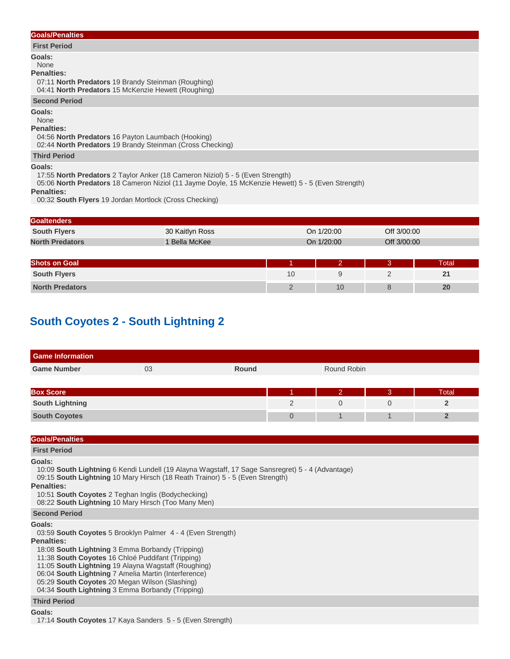## **Goals/Penalties**

### **First Period**

**Goals:**

#### None

### **Penalties:**

 07:11 **North Predators** 19 Brandy Steinman (Roughing) 04:41 **North Predators** 15 McKenzie Hewett (Roughing)

## **Second Period**

**Goals:**

#### None

**Penalties:**

 04:56 **North Predators** 16 Payton Laumbach (Hooking) 02:44 **North Predators** 19 Brandy Steinman (Cross Checking)

### **Third Period**

## **Goals:**

17:55 **North Predators** 2 Taylor Anker (18 Cameron Niziol) 5 - 5 (Even Strength)

05:06 **North Predators** 18 Cameron Niziol (11 Jayme Doyle, 15 McKenzie Hewett) 5 - 5 (Even Strength)

**Penalties:**

00:32 **South Flyers** 19 Jordan Mortlock (Cross Checking)

## **Goaltenders**

| .                      |                    |            |             |
|------------------------|--------------------|------------|-------------|
| <b>South Flyers</b>    | 30 Kaitlyn Ross    | On 1/20:00 | Off 3/00:00 |
| <b>North Predators</b> | <b>Bella McKee</b> | On 1/20:00 | Off 3/00:00 |

| <b>Shots on Goal</b>   |    | <b>Total</b> |
|------------------------|----|--------------|
| <b>South Flyers</b>    |    | . .          |
| <b>North Predators</b> | 10 | 20           |

## **South Coyotes 2 - South Lightning 2**

| <b>Game Information</b>                                                                                                                                                                                                                                                                                                                                                                                                                         |    |                                                                                                                                                                                   |                |                |             |                |
|-------------------------------------------------------------------------------------------------------------------------------------------------------------------------------------------------------------------------------------------------------------------------------------------------------------------------------------------------------------------------------------------------------------------------------------------------|----|-----------------------------------------------------------------------------------------------------------------------------------------------------------------------------------|----------------|----------------|-------------|----------------|
| <b>Game Number</b>                                                                                                                                                                                                                                                                                                                                                                                                                              | 03 | Round                                                                                                                                                                             |                | Round Robin    |             |                |
|                                                                                                                                                                                                                                                                                                                                                                                                                                                 |    |                                                                                                                                                                                   |                |                |             |                |
| <b>Box Score</b>                                                                                                                                                                                                                                                                                                                                                                                                                                |    |                                                                                                                                                                                   |                | $\overline{2}$ | 3           | Total          |
| <b>South Lightning</b>                                                                                                                                                                                                                                                                                                                                                                                                                          |    |                                                                                                                                                                                   | 2              | $\Omega$       | $\Omega$    | $\overline{2}$ |
| <b>South Coyotes</b>                                                                                                                                                                                                                                                                                                                                                                                                                            |    |                                                                                                                                                                                   | $\overline{0}$ | $\mathbf 1$    | $\mathbf 1$ | $\overline{2}$ |
|                                                                                                                                                                                                                                                                                                                                                                                                                                                 |    |                                                                                                                                                                                   |                |                |             |                |
| <b>Goals/Penalties</b>                                                                                                                                                                                                                                                                                                                                                                                                                          |    |                                                                                                                                                                                   |                |                |             |                |
| <b>First Period</b>                                                                                                                                                                                                                                                                                                                                                                                                                             |    |                                                                                                                                                                                   |                |                |             |                |
| <b>Penalties:</b><br>10:51 South Coyotes 2 Teghan Inglis (Bodychecking)<br>08:22 South Lightning 10 Mary Hirsch (Too Many Men)                                                                                                                                                                                                                                                                                                                  |    | 10:09 South Lightning 6 Kendi Lundell (19 Alayna Wagstaff, 17 Sage Sansregret) 5 - 4 (Advantage)<br>09:15 South Lightning 10 Mary Hirsch (18 Reath Trainor) 5 - 5 (Even Strength) |                |                |             |                |
| <b>Second Period</b>                                                                                                                                                                                                                                                                                                                                                                                                                            |    |                                                                                                                                                                                   |                |                |             |                |
| Goals:<br>03:59 South Coyotes 5 Brooklyn Palmer 4 - 4 (Even Strength)<br><b>Penalties:</b><br>18:08 South Lightning 3 Emma Borbandy (Tripping)<br>11:38 South Coyotes 16 Chloé Puddifant (Tripping)<br>11:05 South Lightning 19 Alayna Wagstaff (Roughing)<br>06:04 South Lightning 7 Amelia Martin (Interference)<br>05:29 South Coyotes 20 Megan Wilson (Slashing)<br>04:34 South Lightning 3 Emma Borbandy (Tripping)<br><b>Third Period</b> |    |                                                                                                                                                                                   |                |                |             |                |
| Goals:                                                                                                                                                                                                                                                                                                                                                                                                                                          |    |                                                                                                                                                                                   |                |                |             |                |

17:14 **South Coyotes** 17 Kaya Sanders 5 - 5 (Even Strength)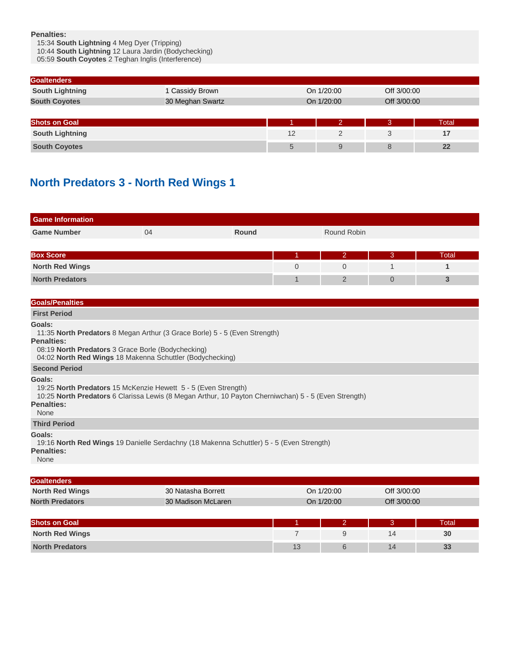**Penalties:**

15:34 **South Lightning** 4 Meg Dyer (Tripping)

10:44 **South Lightning** 12 Laura Jardin (Bodychecking)

05:59 **South Coyotes** 2 Teghan Inglis (Interference)

| <b>Goaltenders</b>     |                  |    |            |             |       |
|------------------------|------------------|----|------------|-------------|-------|
| <b>South Lightning</b> | 1 Cassidy Brown  |    | On 1/20:00 | Off 3/00:00 |       |
| <b>South Coyotes</b>   | 30 Meghan Swartz |    | On 1/20:00 | Off 3/00:00 |       |
|                        |                  |    |            |             |       |
| <b>Shots on Goal</b>   |                  |    |            | Β.          | Total |
| <b>South Lightning</b> |                  | 12 |            |             | 17    |
| <b>South Coyotes</b>   |                  | 5  | 9          | 8           | 22    |

## **North Predators 3 - North Red Wings 1**

| <b>Game Information</b> |    |       |   |             |          |       |
|-------------------------|----|-------|---|-------------|----------|-------|
| <b>Game Number</b>      | 04 | Round |   | Round Robin |          |       |
|                         |    |       |   |             |          |       |
| <b>Box Score</b>        |    |       |   | 2           | 3        | Total |
| <b>North Red Wings</b>  |    |       | 0 |             |          |       |
| <b>North Predators</b>  |    |       |   |             | $\Omega$ |       |

### **Goals/Penalties**

**First Period**

**Goals:**

11:35 **North Predators** 8 Megan Arthur (3 Grace Borle) 5 - 5 (Even Strength)

**Penalties:**

08:19 **North Predators** 3 Grace Borle (Bodychecking)

04:02 **North Red Wings** 18 Makenna Schuttler (Bodychecking)

### **Second Period**

**Goals:**

19:25 **North Predators** 15 McKenzie Hewett 5 - 5 (Even Strength)

10:25 **North Predators** 6 Clarissa Lewis (8 Megan Arthur, 10 Payton Cherniwchan) 5 - 5 (Even Strength)

## **Penalties:**

None

**Third Period**

### **Goals:**

 19:16 **North Red Wings** 19 Danielle Serdachny (18 Makenna Schuttler) 5 - 5 (Even Strength) **Penalties:**

#### None

| <b>Goaltenders</b>     |                    |            |             |  |  |  |  |
|------------------------|--------------------|------------|-------------|--|--|--|--|
| <b>North Red Wings</b> | 30 Natasha Borrett | On 1/20:00 | Off 3/00:00 |  |  |  |  |
| <b>North Predators</b> | 30 Madison McLaren | On 1/20:00 | Off 3/00:00 |  |  |  |  |

| <b>Shots on Goal</b>   |    |         | <b>Total</b> |
|------------------------|----|---------|--------------|
| <b>North Red Wings</b> |    |         | 30           |
| <b>North Predators</b> | 13 | л.<br>╹ | 33           |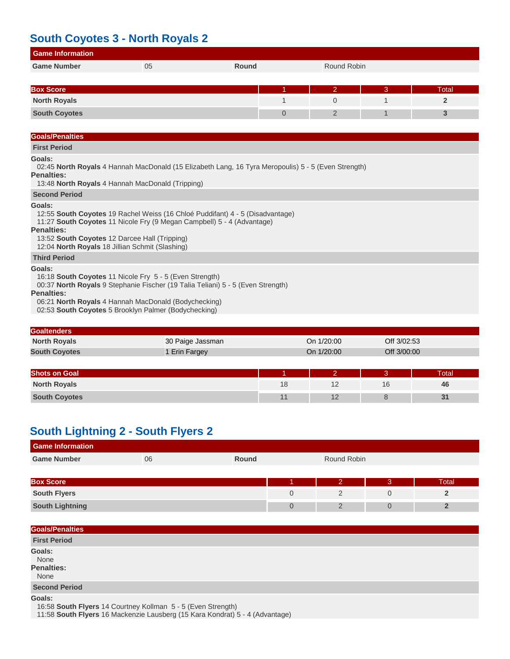## **South Coyotes 3 - North Royals 2**

| <b>Game Information</b> |    |       |   |             |   |       |
|-------------------------|----|-------|---|-------------|---|-------|
| <b>Game Number</b>      | 05 | Round |   | Round Robin |   |       |
|                         |    |       |   |             |   |       |
| <b>Box Score</b>        |    |       |   | ာ           | 3 | Total |
| <b>North Royals</b>     |    |       |   |             |   |       |
| <b>South Coyotes</b>    |    |       | 0 | 2           |   |       |
|                         |    |       |   |             |   |       |

## **Goals/Penalties**

## **First Period**

## **Goals:**

02:45 **North Royals** 4 Hannah MacDonald (15 Elizabeth Lang, 16 Tyra Meropoulis) 5 - 5 (Even Strength)

#### **Penalties:**

13:48 **North Royals** 4 Hannah MacDonald (Tripping)

## **Second Period**

## **Goals:**

 12:55 **South Coyotes** 19 Rachel Weiss (16 Chloé Puddifant) 4 - 5 (Disadvantage) 11:27 **South Coyotes** 11 Nicole Fry (9 Megan Campbell) 5 - 4 (Advantage) **Penalties:** 13:52 **South Coyotes** 12 Darcee Hall (Tripping) 12:04 **North Royals** 18 Jillian Schmit (Slashing) **Third Period Goals:** 16:18 **South Coyotes** 11 Nicole Fry 5 - 5 (Even Strength) 00:37 **North Royals** 9 Stephanie Fischer (19 Talia Teliani) 5 - 5 (Even Strength)

## **Penalties:**

06:21 **North Royals** 4 Hannah MacDonald (Bodychecking)

02:53 **South Coyotes** 5 Brooklyn Palmer (Bodychecking)

| <b>Goaltenders</b>   |                    |            |             |  |  |  |  |
|----------------------|--------------------|------------|-------------|--|--|--|--|
| <b>North Royals</b>  | 30 Paige Jassman   | On 1/20:00 | Off 3/02:53 |  |  |  |  |
| <b>South Coyotes</b> | <b>Erin Fargey</b> | On 1/20:00 | Off 3/00:00 |  |  |  |  |

| <b>Shots on Goal</b> |    |     |    | `otal |
|----------------------|----|-----|----|-------|
| <b>North Royals</b>  | 18 |     | 16 | 46    |
| <b>South Coyotes</b> |    | . . |    | ъı    |

## **South Lightning 2 - South Flyers 2**

| <b>Game Information</b> |    |              |  |                |  |       |  |  |
|-------------------------|----|--------------|--|----------------|--|-------|--|--|
| <b>Game Number</b>      | 06 | <b>Round</b> |  | Round Robin    |  |       |  |  |
|                         |    |              |  |                |  |       |  |  |
| <b>Box Score</b>        |    |              |  | $\overline{2}$ |  | Total |  |  |
| <b>South Flyers</b>     |    |              |  |                |  |       |  |  |
| <b>South Lightning</b>  |    |              |  |                |  |       |  |  |

| <b>Goals/Penalties</b>               |  |  |  |
|--------------------------------------|--|--|--|
| <b>First Period</b>                  |  |  |  |
| Goals:<br>None<br>Penalties:<br>None |  |  |  |
| <b>Second Period</b>                 |  |  |  |
| Goale:                               |  |  |  |

**Goals:**

16:58 **South Flyers** 14 Courtney Kollman 5 - 5 (Even Strength)

11:58 **South Flyers** 16 Mackenzie Lausberg (15 Kara Kondrat) 5 - 4 (Advantage)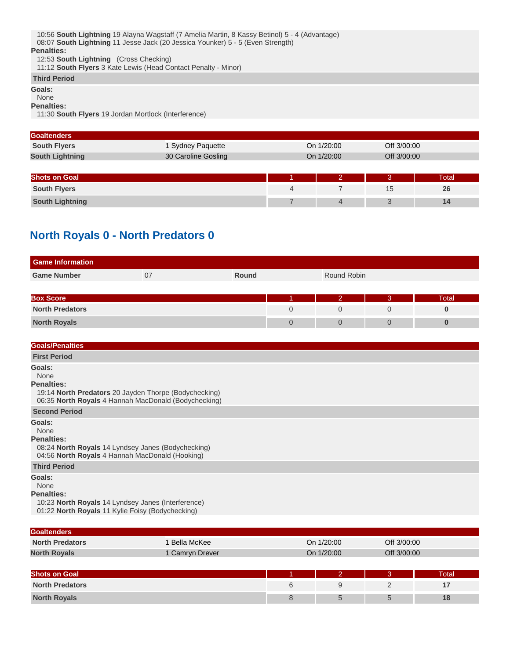## **Third Period**

**Goals:**

None

**Penalties:**

11:30 **South Flyers** 19 Jordan Mortlock (Interference)

| <b>Goaltenders</b>     |                     |   |            |             |             |
|------------------------|---------------------|---|------------|-------------|-------------|
| <b>South Flyers</b>    | 1 Sydney Paquette   |   | On 1/20:00 |             | Off 3/00:00 |
| <b>South Lightning</b> | 30 Caroline Gosling |   | On 1/20:00 | Off 3/00:00 |             |
|                        |                     |   |            |             |             |
| <b>Shots on Goal</b>   |                     |   |            | З.          | Total       |
| <b>South Flyers</b>    |                     | 4 |            | 15          | 26          |
| <b>South Lightning</b> |                     |   | 4          | 3           | 14          |

## **North Royals 0 - North Predators 0**

| <b>Game Information</b> |    |       |  |             |   |       |  |
|-------------------------|----|-------|--|-------------|---|-------|--|
| <b>Game Number</b>      | 07 | Round |  | Round Robin |   |       |  |
|                         |    |       |  |             |   |       |  |
| <b>Box Score</b>        |    |       |  | 2           | 3 | Total |  |
| <b>North Predators</b>  |    |       |  |             |   |       |  |
| <b>North Royals</b>     |    |       |  |             |   |       |  |

| <b>Goals/Penalties</b>                                                                                                                       |
|----------------------------------------------------------------------------------------------------------------------------------------------|
| <b>First Period</b>                                                                                                                          |
| Goals:<br>None<br><b>Penalties:</b>                                                                                                          |
| 19:14 North Predators 20 Jayden Thorpe (Bodychecking)<br>06:35 North Royals 4 Hannah MacDonald (Bodychecking)                                |
| <b>Second Period</b>                                                                                                                         |
| Goals:<br>None<br><b>Penalties:</b><br>08:24 North Royals 14 Lyndsey Janes (Bodychecking)<br>04:56 North Royals 4 Hannah MacDonald (Hooking) |
| <b>Third Period</b>                                                                                                                          |
| Goals:<br>None<br><b>Penalties:</b>                                                                                                          |

 10:23 **North Royals** 14 Lyndsey Janes (Interference) 01:22 **North Royals** 11 Kylie Foisy (Bodychecking)

| <b>Goaltenders</b>     |                 |            |   |             |       |
|------------------------|-----------------|------------|---|-------------|-------|
| <b>North Predators</b> | Bella McKee     | On 1/20:00 |   | Off 3/00:00 |       |
| <b>North Royals</b>    | 1 Camryn Drever | On 1/20:00 |   | Off 3/00:00 |       |
|                        |                 |            |   |             |       |
| <b>Shots on Goal</b>   |                 |            |   | Β.          | Total |
| <b>North Predators</b> |                 | 6          | 9 | C           | 17    |
| <b>North Royals</b>    |                 | 8          | 5 | 5           | 18    |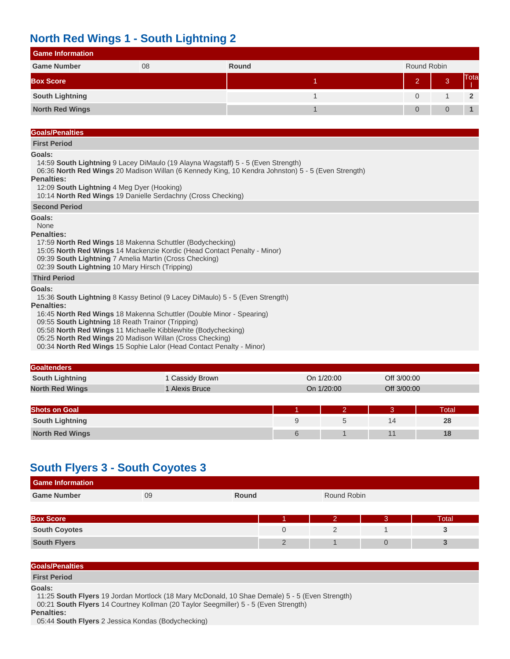## **North Red Wings 1 - South Lightning 2**

| <b>Game Information</b> |    |       |             |  |      |  |  |  |  |
|-------------------------|----|-------|-------------|--|------|--|--|--|--|
| <b>Game Number</b>      | 08 | Round | Round Robin |  |      |  |  |  |  |
| <b>Box Score</b>        |    |       | $\Omega$    |  | Tota |  |  |  |  |
| <b>South Lightning</b>  |    |       |             |  | 2    |  |  |  |  |
| <b>North Red Wings</b>  |    |       |             |  |      |  |  |  |  |

## **Goals/Penalties**

**First Period**

## **Goals:**

14:59 **South Lightning** 9 Lacey DiMaulo (19 Alayna Wagstaff) 5 - 5 (Even Strength)

 06:36 **North Red Wings** 20 Madison Willan (6 Kennedy King, 10 Kendra Johnston) 5 - 5 (Even Strength) **Penalties:**

- 12:09 **South Lightning** 4 Meg Dyer (Hooking)
- 10:14 **North Red Wings** 19 Danielle Serdachny (Cross Checking)

## **Second Period**

**Goals:**

### None

**Penalties:**

17:59 **North Red Wings** 18 Makenna Schuttler (Bodychecking)

- 15:05 **North Red Wings** 14 Mackenzie Kordic (Head Contact Penalty Minor)
- 09:39 **South Lightning** 7 Amelia Martin (Cross Checking)

02:39 **South Lightning** 10 Mary Hirsch (Tripping)

## **Third Period**

**Goals:**

 15:36 **South Lightning** 8 Kassy Betinol (9 Lacey DiMaulo) 5 - 5 (Even Strength) **Penalties:**

16:45 **North Red Wings** 18 Makenna Schuttler (Double Minor - Spearing)

09:55 **South Lightning** 18 Reath Trainor (Tripping)

05:58 **North Red Wings** 11 Michaelle Kibblewhite (Bodychecking)

05:25 **North Red Wings** 20 Madison Willan (Cross Checking)

00:34 **North Red Wings** 15 Sophie Lalor (Head Contact Penalty - Minor)

| <b>Goaltenders</b>     |                 |            |   |             |       |
|------------------------|-----------------|------------|---|-------------|-------|
| <b>South Lightning</b> | 1 Cassidy Brown | On 1/20:00 |   | Off 3/00:00 |       |
| <b>North Red Wings</b> | 1 Alexis Bruce  | On 1/20:00 |   | Off 3/00:00 |       |
|                        |                 |            |   |             |       |
| <b>Shots on Goal</b>   |                 |            |   | 3           | Total |
| <b>South Lightning</b> |                 | 9          | 5 | 14          | 28    |
| <b>North Red Wings</b> |                 | 6          |   | 11          | 18    |

## **South Flyers 3 - South Coyotes 3**

| <b>Game Information</b> |    |                |             |   |              |
|-------------------------|----|----------------|-------------|---|--------------|
| <b>Game Number</b>      | 09 | Round          | Round Robin |   |              |
|                         |    |                |             |   |              |
| <b>Box Score</b>        |    |                | ာ           | ာ | <b>Total</b> |
| <b>South Coyotes</b>    |    | $\overline{0}$ | C           |   |              |
| <b>South Flyers</b>     |    | $\mathcal{D}$  |             |   |              |

### **Goals/Penalties**

**First Period**

### **Goals:**

 11:25 **South Flyers** 19 Jordan Mortlock (18 Mary McDonald, 10 Shae Demale) 5 - 5 (Even Strength) 00:21 **South Flyers** 14 Courtney Kollman (20 Taylor Seegmiller) 5 - 5 (Even Strength)

### **Penalties:**

05:44 **South Flyers** 2 Jessica Kondas (Bodychecking)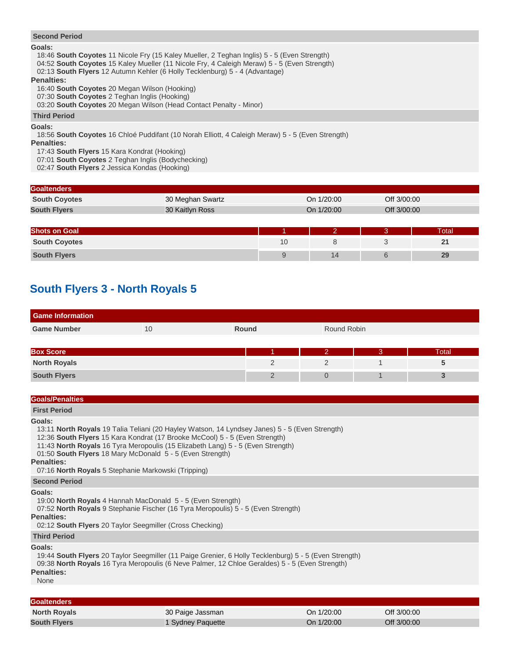## **Second Period**

### **Goals:**

18:46 **South Coyotes** 11 Nicole Fry (15 Kaley Mueller, 2 Teghan Inglis) 5 - 5 (Even Strength)

04:52 **South Coyotes** 15 Kaley Mueller (11 Nicole Fry, 4 Caleigh Meraw) 5 - 5 (Even Strength)

02:13 **South Flyers** 12 Autumn Kehler (6 Holly Tecklenburg) 5 - 4 (Advantage)

## **Penalties:**

16:40 **South Coyotes** 20 Megan Wilson (Hooking)

07:30 **South Coyotes** 2 Teghan Inglis (Hooking)

03:20 **South Coyotes** 20 Megan Wilson (Head Contact Penalty - Minor)

**Third Period**

**Goals:**

18:56 **South Coyotes** 16 Chloé Puddifant (10 Norah Elliott, 4 Caleigh Meraw) 5 - 5 (Even Strength)

**Penalties:**

17:43 **South Flyers** 15 Kara Kondrat (Hooking)

07:01 **South Coyotes** 2 Teghan Inglis (Bodychecking)

02:47 **South Flyers** 2 Jessica Kondas (Hooking)

| <b>Goaltenders</b>   |                  |            |               |             |             |
|----------------------|------------------|------------|---------------|-------------|-------------|
| <b>South Coyotes</b> | 30 Meghan Swartz |            | On 1/20:00    |             | Off 3/00:00 |
| <b>South Flyers</b>  | 30 Kaitlyn Ross  | On 1/20:00 |               | Off 3/00:00 |             |
|                      |                  |            |               |             |             |
| <b>Shots on Goal</b> |                  |            | $\mathcal{D}$ | 3           | Total       |
| <b>South Coyotes</b> |                  | 10         |               |             | 21          |
| <b>South Flyers</b>  |                  | 9          | 14            | 6           | 29          |

## **South Flyers 3 - North Royals 5**

| <b>Game Information</b> |    |               |  |             |       |  |  |
|-------------------------|----|---------------|--|-------------|-------|--|--|
| <b>Game Number</b>      | 10 | Round         |  | Round Robin |       |  |  |
|                         |    |               |  |             |       |  |  |
| <b>Box Score</b>        |    |               |  | В           | Total |  |  |
| <b>North Royals</b>     |    | っ             |  |             |       |  |  |
| <b>South Flyers</b>     |    | $\mathcal{D}$ |  |             |       |  |  |

**Goals/Penalties**

**First Period**

**Goals:**

13:11 **North Royals** 19 Talia Teliani (20 Hayley Watson, 14 Lyndsey Janes) 5 - 5 (Even Strength)

12:36 **South Flyers** 15 Kara Kondrat (17 Brooke McCool) 5 - 5 (Even Strength)

11:43 **North Royals** 16 Tyra Meropoulis (15 Elizabeth Lang) 5 - 5 (Even Strength)

01:50 **South Flyers** 18 Mary McDonald 5 - 5 (Even Strength)

**Penalties:**

07:16 **North Royals** 5 Stephanie Markowski (Tripping)

## **Second Period**

**Goals:**

19:00 **North Royals** 4 Hannah MacDonald 5 - 5 (Even Strength)

07:52 **North Royals** 9 Stephanie Fischer (16 Tyra Meropoulis) 5 - 5 (Even Strength)

### **Penalties:**

02:12 **South Flyers** 20 Taylor Seegmiller (Cross Checking)

### **Third Period**

**Goals:**

 19:44 **South Flyers** 20 Taylor Seegmiller (11 Paige Grenier, 6 Holly Tecklenburg) 5 - 5 (Even Strength) 09:38 **North Royals** 16 Tyra Meropoulis (6 Neve Palmer, 12 Chloe Geraldes) 5 - 5 (Even Strength) **Penalties:**

None

| <b>Goaltenders</b>  |                              |            |             |
|---------------------|------------------------------|------------|-------------|
| <b>North Royals</b> | 30 Paige Jassman             | On 1/20:00 | Off 3/00:00 |
| <b>South Flyers</b> | <sup>1</sup> Sydney Paquette | On 1/20:00 | Off 3/00:00 |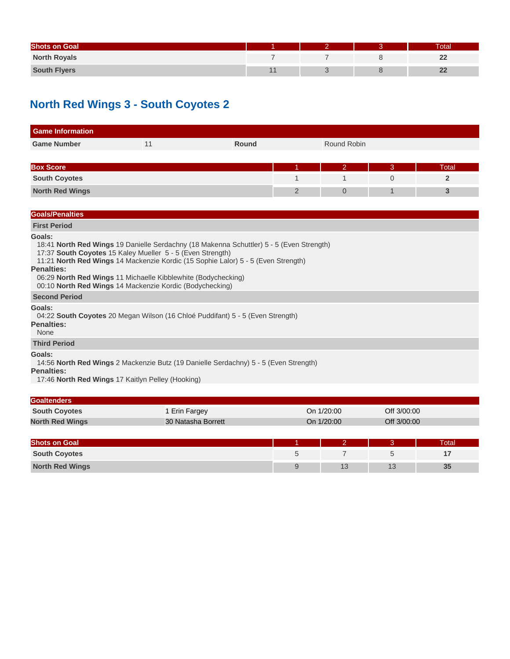| <b>Shots on Goal</b> |                |  | <b>Total</b> |
|----------------------|----------------|--|--------------|
| <b>North Royals</b>  |                |  | 22           |
| <b>South Flyers</b>  | $\overline{A}$ |  | $\mathbf{Z}$ |

# **North Red Wings 3 - South Coyotes 2**

| <b>Game Information</b>                                                                                                                                                                                      |    |                                                                                                                                                                               |   |                |              |                |
|--------------------------------------------------------------------------------------------------------------------------------------------------------------------------------------------------------------|----|-------------------------------------------------------------------------------------------------------------------------------------------------------------------------------|---|----------------|--------------|----------------|
| <b>Game Number</b>                                                                                                                                                                                           | 11 | Round                                                                                                                                                                         |   | Round Robin    |              |                |
|                                                                                                                                                                                                              |    |                                                                                                                                                                               |   |                |              |                |
| <b>Box Score</b>                                                                                                                                                                                             |    |                                                                                                                                                                               |   | $\overline{2}$ | 3            | Total          |
| <b>South Coyotes</b>                                                                                                                                                                                         |    |                                                                                                                                                                               | 1 | $\mathbf{1}$   | $\mathbf{0}$ | $\overline{2}$ |
| <b>North Red Wings</b>                                                                                                                                                                                       |    |                                                                                                                                                                               | 2 | $\overline{0}$ | $\mathbf 1$  | 3              |
|                                                                                                                                                                                                              |    |                                                                                                                                                                               |   |                |              |                |
| <b>Goals/Penalties</b>                                                                                                                                                                                       |    |                                                                                                                                                                               |   |                |              |                |
| <b>First Period</b>                                                                                                                                                                                          |    |                                                                                                                                                                               |   |                |              |                |
| 17:37 South Coyotes 15 Kaley Mueller 5 - 5 (Even Strength)<br><b>Penalties:</b><br>06:29 North Red Wings 11 Michaelle Kibblewhite (Bodychecking)<br>00:10 North Red Wings 14 Mackenzie Kordic (Bodychecking) |    | 18:41 North Red Wings 19 Danielle Serdachny (18 Makenna Schuttler) 5 - 5 (Even Strength)<br>11:21 North Red Wings 14 Mackenzie Kordic (15 Sophie Lalor) 5 - 5 (Even Strength) |   |                |              |                |
| <b>Second Period</b>                                                                                                                                                                                         |    |                                                                                                                                                                               |   |                |              |                |
| Goals:<br><b>Penalties:</b><br>None                                                                                                                                                                          |    | 04:22 South Coyotes 20 Megan Wilson (16 Chloé Puddifant) 5 - 5 (Even Strength)                                                                                                |   |                |              |                |
| <b>Third Period</b>                                                                                                                                                                                          |    |                                                                                                                                                                               |   |                |              |                |
| Goals:<br><b>Penalties:</b><br>17:46 North Red Wings 17 Kaitlyn Pelley (Hooking)                                                                                                                             |    | 14:56 North Red Wings 2 Mackenzie Butz (19 Danielle Serdachny) 5 - 5 (Even Strength)                                                                                          |   |                |              |                |
| Goaltenders                                                                                                                                                                                                  |    |                                                                                                                                                                               |   |                |              |                |

| <b>POPULITION</b>      |                    |            |             |
|------------------------|--------------------|------------|-------------|
| <b>South Coyotes</b>   | Erin Fargey        | On 1/20:00 | Off 3/00:00 |
| <b>North Red Wings</b> | 30 Natasha Borrett | On 1/20:00 | Off 3/00:00 |
|                        |                    |            |             |

| <b>Shots on Goal</b>   |    |    | otal <sup>-</sup> |
|------------------------|----|----|-------------------|
| <b>South Coyotes</b>   |    |    |                   |
| <b>North Red Wings</b> | 13 | 13 | 35                |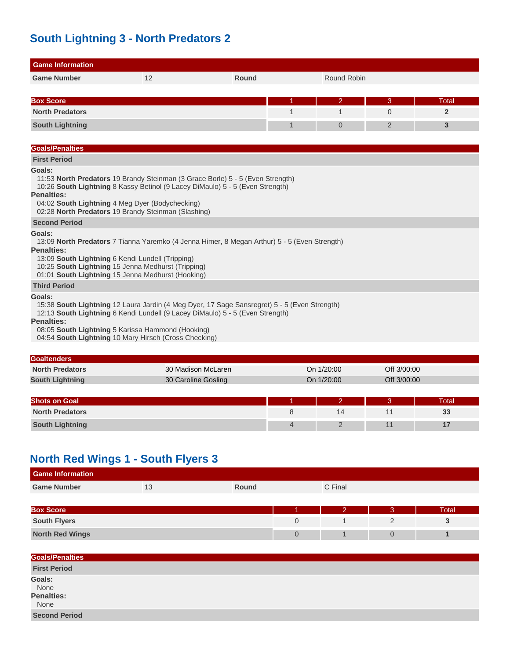## **South Lightning 3 - North Predators 2**

| <b>Game Information</b>                                                                                                                                                                                                                                                                                                    |    |       |   |                |                |                |
|----------------------------------------------------------------------------------------------------------------------------------------------------------------------------------------------------------------------------------------------------------------------------------------------------------------------------|----|-------|---|----------------|----------------|----------------|
| <b>Game Number</b>                                                                                                                                                                                                                                                                                                         | 12 | Round |   | Round Robin    |                |                |
|                                                                                                                                                                                                                                                                                                                            |    |       |   |                |                |                |
| <b>Box Score</b>                                                                                                                                                                                                                                                                                                           |    |       |   | $\overline{2}$ | 3              | Total          |
| <b>North Predators</b>                                                                                                                                                                                                                                                                                                     |    |       | 1 | 1              | $\Omega$       | $\overline{2}$ |
| <b>South Lightning</b>                                                                                                                                                                                                                                                                                                     |    |       | 1 | $\overline{0}$ | $\overline{2}$ | 3              |
|                                                                                                                                                                                                                                                                                                                            |    |       |   |                |                |                |
| <b>Goals/Penalties</b>                                                                                                                                                                                                                                                                                                     |    |       |   |                |                |                |
| <b>First Period</b>                                                                                                                                                                                                                                                                                                        |    |       |   |                |                |                |
| Goals:<br>11:53 North Predators 19 Brandy Steinman (3 Grace Borle) 5 - 5 (Even Strength)<br>10:26 South Lightning 8 Kassy Betinol (9 Lacey DiMaulo) 5 - 5 (Even Strength)<br><b>Penalties:</b><br>04:02 South Lightning 4 Meg Dyer (Bodychecking)<br>02:28 North Predators 19 Brandy Steinman (Slashing)                   |    |       |   |                |                |                |
| <b>Second Period</b>                                                                                                                                                                                                                                                                                                       |    |       |   |                |                |                |
| Goals:<br>13:09 North Predators 7 Tianna Yaremko (4 Jenna Himer, 8 Megan Arthur) 5 - 5 (Even Strength)<br><b>Penalties:</b><br>13:09 South Lightning 6 Kendi Lundell (Tripping)<br>10:25 South Lightning 15 Jenna Medhurst (Tripping)<br>01:01 South Lightning 15 Jenna Medhurst (Hooking)                                 |    |       |   |                |                |                |
| <b>Third Period</b>                                                                                                                                                                                                                                                                                                        |    |       |   |                |                |                |
| Goals:<br>15:38 South Lightning 12 Laura Jardin (4 Meg Dyer, 17 Sage Sansregret) 5 - 5 (Even Strength)<br>12:13 South Lightning 6 Kendi Lundell (9 Lacey DiMaulo) 5 - 5 (Even Strength)<br><b>Penalties:</b><br>08:05 South Lightning 5 Karissa Hammond (Hooking)<br>04:54 South Lightning 10 Mary Hirsch (Cross Checking) |    |       |   |                |                |                |

| <b>Goaltenders</b>     |                     |   |              |    |             |  |
|------------------------|---------------------|---|--------------|----|-------------|--|
| <b>North Predators</b> | 30 Madison McLaren  |   | On 1/20:00   |    | Off 3/00:00 |  |
| <b>South Lightning</b> | 30 Caroline Gosling |   | On 1/20:00   |    | Off 3/00:00 |  |
|                        |                     |   |              |    |             |  |
| <b>Shots on Goal</b>   |                     |   | $\mathbf{2}$ | Β. | Total       |  |
| <b>North Predators</b> |                     | 8 | 14           | 11 | 33          |  |
| <b>South Lightning</b> |                     | 4 |              | 11 | 17          |  |

## **North Red Wings 1 - South Flyers 3**

| <b>Game Information</b> |    |       |         |
|-------------------------|----|-------|---------|
| <b>Game Number</b>      | ιv | Round | C Final |
|                         |    |       |         |

| <b>Box Score</b>       |  | <b>Total</b> |
|------------------------|--|--------------|
| <b>South Flyers</b>    |  |              |
| <b>North Red Wings</b> |  |              |

| <b>Goals/Penalties</b>               |  |  |
|--------------------------------------|--|--|
| <b>First Period</b>                  |  |  |
| Goals:<br>None<br>Penalties:<br>None |  |  |
| <b>Second Period</b>                 |  |  |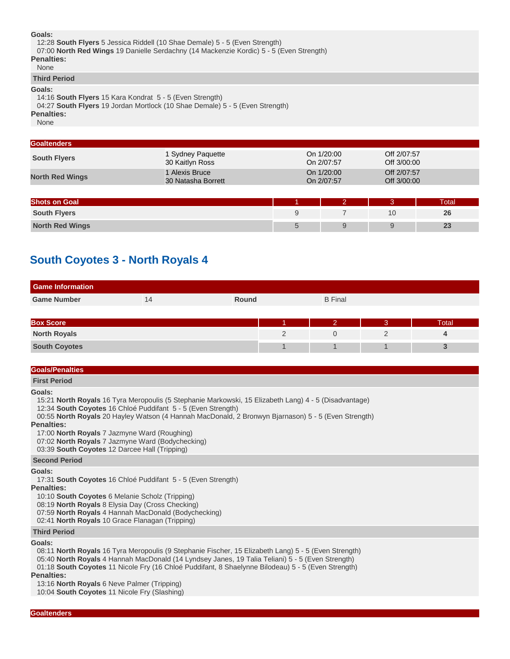### **Goals:**

 12:28 **South Flyers** 5 Jessica Riddell (10 Shae Demale) 5 - 5 (Even Strength) 07:00 **North Red Wings** 19 Danielle Serdachny (14 Mackenzie Kordic) 5 - 5 (Even Strength) **Penalties:** None

**Third Period**

#### **Goals:**

 14:16 **South Flyers** 15 Kara Kondrat 5 - 5 (Even Strength) 04:27 **South Flyers** 19 Jordan Mortlock (10 Shae Demale) 5 - 5 (Even Strength) **Penalties:**

None

| <b>Goaltenders</b>     |                                      |   |                          |                            |       |
|------------------------|--------------------------------------|---|--------------------------|----------------------------|-------|
| <b>South Flyers</b>    | 1 Sydney Paquette<br>30 Kaitlyn Ross |   | On 1/20:00<br>On 2/07:57 | Off 2/07:57<br>Off 3/00:00 |       |
| <b>North Red Wings</b> | 1 Alexis Bruce<br>30 Natasha Borrett |   | On 1/20:00<br>On 2/07:57 | Off 2/07:57<br>Off 3/00:00 |       |
|                        |                                      |   |                          |                            |       |
| <b>Shots on Goal</b>   |                                      |   | $\overline{2}$           | 3                          | Total |
| <b>South Flyers</b>    |                                      | 9 |                          | 10                         | 26    |
| <b>North Red Wings</b> |                                      | 5 | 9                        | 9                          | 23    |
|                        |                                      |   |                          |                            |       |

## **South Coyotes 3 - North Royals 4**

| <b>Game Information</b> |    |       |                |   |       |
|-------------------------|----|-------|----------------|---|-------|
| <b>Game Number</b>      | 14 | Round | <b>B</b> Final |   |       |
|                         |    |       |                |   |       |
| <b>Box Score</b>        |    |       |                | З | Total |
| <b>North Royals</b>     |    |       | $\Omega$       |   |       |
| <b>South Coyotes</b>    |    |       |                |   |       |

## **Goals/Penalties**

**First Period**

#### **Goals:**

15:21 **North Royals** 16 Tyra Meropoulis (5 Stephanie Markowski, 15 Elizabeth Lang) 4 - 5 (Disadvantage)

12:34 **South Coyotes** 16 Chloé Puddifant 5 - 5 (Even Strength)

 00:55 **North Royals** 20 Hayley Watson (4 Hannah MacDonald, 2 Bronwyn Bjarnason) 5 - 5 (Even Strength) **Penalties:**

17:00 **North Royals** 7 Jazmyne Ward (Roughing)

07:02 **North Royals** 7 Jazmyne Ward (Bodychecking)

03:39 **South Coyotes** 12 Darcee Hall (Tripping)

## **Second Period**

**Goals:**

17:31 **South Coyotes** 16 Chloé Puddifant 5 - 5 (Even Strength)

**Penalties:**

10:10 **South Coyotes** 6 Melanie Scholz (Tripping)

08:19 **North Royals** 8 Elysia Day (Cross Checking)

07:59 **North Royals** 4 Hannah MacDonald (Bodychecking)

02:41 **North Royals** 10 Grace Flanagan (Tripping)

## **Third Period**

#### **Goals:**

 08:11 **North Royals** 16 Tyra Meropoulis (9 Stephanie Fischer, 15 Elizabeth Lang) 5 - 5 (Even Strength) 05:40 **North Royals** 4 Hannah MacDonald (14 Lyndsey Janes, 19 Talia Teliani) 5 - 5 (Even Strength) 01:18 **South Coyotes** 11 Nicole Fry (16 Chloé Puddifant, 8 Shaelynne Bilodeau) 5 - 5 (Even Strength) **Penalties:**

 13:16 **North Royals** 6 Neve Palmer (Tripping) 10:04 **South Coyotes** 11 Nicole Fry (Slashing)

**Goaltenders**